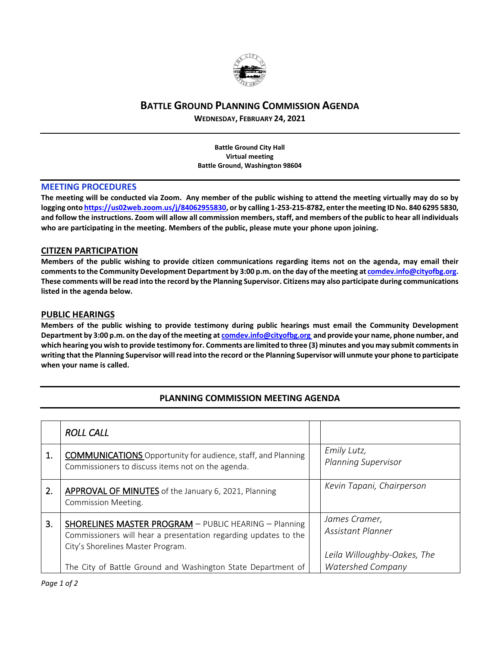

## **BATTLE GROUND PLANNING COMMISSION AGENDA**

**WEDNESDAY, FEBRUARY 24, 2021**

**Battle Ground City Hall Virtual meeting Battle Ground, Washington 98604**

#### **MEETING PROCEDURES**

**The meeting will be conducted via Zoom. Any member of the public wishing to attend the meeting virtually may do so by logging onto [https://us02web.zoom.us/j/84062955830,](https://us02web.zoom.us/j/84062955830) or by calling 1-253-215-8782, enter the meeting ID No. 840 6295 5830, and follow the instructions. Zoom will allow all commission members, staff, and members of the public to hear all individuals who are participating in the meeting. Members of the public, please mute your phone upon joining.**

### **CITIZEN PARTICIPATION**

**Members of the public wishing to provide citizen communications regarding items not on the agenda, may email their comments to the Community Development Department by 3:00 p.m. on the day of the meeting a[t comdev.info@cityofbg.org.](mailto:comdev.info@cityofbg.org) These comments will be read into the record by the Planning Supervisor. Citizens may also participate during communications listed in the agenda below.** 

### **PUBLIC HEARINGS**

**Members of the public wishing to provide testimony during public hearings must email the Community Development Department by 3:00 p.m. on the day of the meeting a[t comdev.info@cityofbg.org](mailto:comdev.info@cityofbg.org) and provide your name, phone number, and which hearing you wish to provide testimony for. Comments are limited to three (3) minutes and you may submit comments in writing that the Planning Supervisor will read into the record or the Planning Supervisor will unmute your phone to participate when your name is called.**

# **PLANNING COMMISSION MEETING AGENDA**

|    | <b>ROLL CALL</b>                                                                                                                                              |                                                                          |
|----|---------------------------------------------------------------------------------------------------------------------------------------------------------------|--------------------------------------------------------------------------|
| 1. | <b>COMMUNICATIONS</b> Opportunity for audience, staff, and Planning<br>Commissioners to discuss items not on the agenda.                                      | Emily Lutz,<br><b>Planning Supervisor</b>                                |
| 2. | APPROVAL OF MINUTES of the January 6, 2021, Planning<br><b>Commission Meeting.</b>                                                                            | Kevin Tapani, Chairperson                                                |
| 3. | SHORELINES MASTER PROGRAM - PUBLIC HEARING - Planning<br>Commissioners will hear a presentation regarding updates to the<br>City's Shorelines Master Program. | James Cramer,<br><b>Assistant Planner</b><br>Leila Willoughby-Oakes, The |
|    | The City of Battle Ground and Washington State Department of                                                                                                  | <b>Watershed Company</b>                                                 |